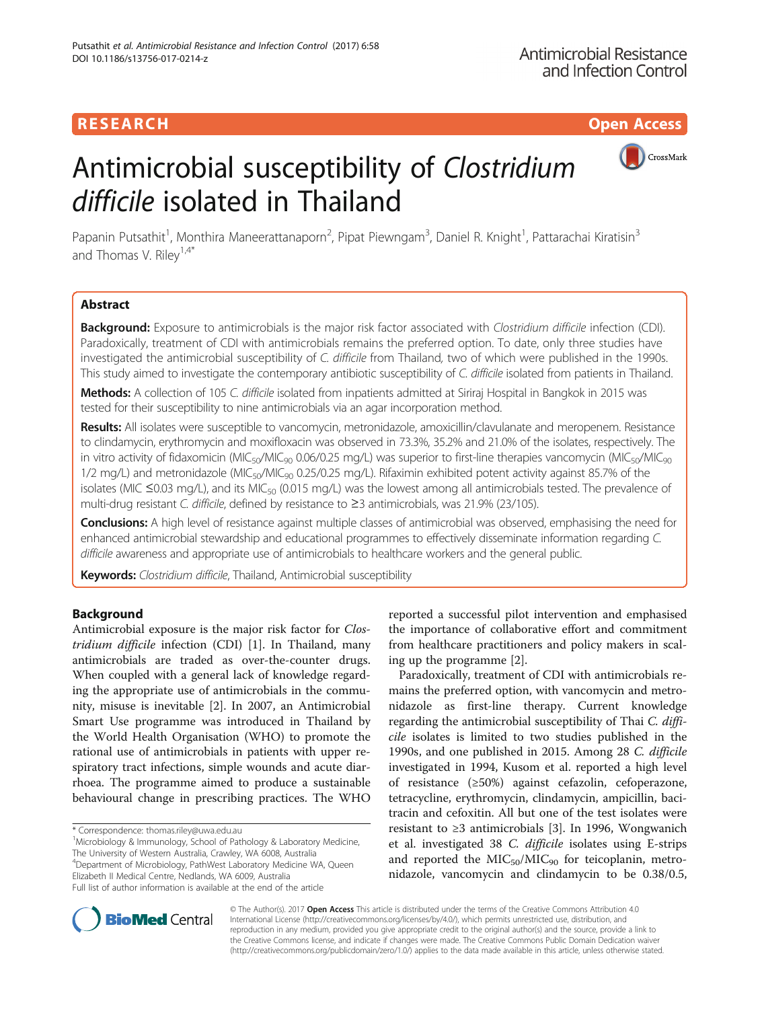## **RESEARCH CHILD CONTROL** CONTROL CONTROL CONTROL CONTROL CONTROL CONTROL CONTROL CONTROL CONTROL CONTROL CONTROL CONTROL CONTROL CONTROL CONTROL CONTROL CONTROL CONTROL CONTROL CONTROL CONTROL CONTROL CONTROL CONTROL CONTR



# Antimicrobial susceptibility of Clostridium difficile isolated in Thailand

Papanin Putsathit<sup>1</sup>, Monthira Maneerattanaporn<sup>2</sup>, Pipat Piewngam<sup>3</sup>, Daniel R. Knight<sup>1</sup>, Pattarachai Kiratisin<sup>3</sup> and Thomas V. Riley<sup>1,4\*</sup>

## Abstract

Background: Exposure to antimicrobials is the major risk factor associated with Clostridium difficile infection (CDI). Paradoxically, treatment of CDI with antimicrobials remains the preferred option. To date, only three studies have investigated the antimicrobial susceptibility of C. difficile from Thailand, two of which were published in the 1990s. This study aimed to investigate the contemporary antibiotic susceptibility of C. difficile isolated from patients in Thailand.

Methods: A collection of 105 C. difficile isolated from inpatients admitted at Siriraj Hospital in Bangkok in 2015 was tested for their susceptibility to nine antimicrobials via an agar incorporation method.

Results: All isolates were susceptible to vancomycin, metronidazole, amoxicillin/clavulanate and meropenem. Resistance to clindamycin, erythromycin and moxifloxacin was observed in 73.3%, 35.2% and 21.0% of the isolates, respectively. The in vitro activity of fidaxomicin (MIC<sub>50</sub>/MIC<sub>90</sub> 0.06/0.25 mg/L) was superior to first-line therapies vancomycin (MIC<sub>50</sub>/MIC<sub>90</sub> 1/2 mg/L) and metronidazole (MIC<sub>50</sub>/MIC<sub>90</sub> 0.25/0.25 mg/L). Rifaximin exhibited potent activity against 85.7% of the isolates (MIC ≤0.03 mg/L), and its MIC<sub>50</sub> (0.015 mg/L) was the lowest among all antimicrobials tested. The prevalence of multi-drug resistant C. difficile, defined by resistance to ≥3 antimicrobials, was 21.9% (23/105).

Conclusions: A high level of resistance against multiple classes of antimicrobial was observed, emphasising the need for enhanced antimicrobial stewardship and educational programmes to effectively disseminate information regarding C. difficile awareness and appropriate use of antimicrobials to healthcare workers and the general public.

Keywords: Clostridium difficile, Thailand, Antimicrobial susceptibility

## Background

Antimicrobial exposure is the major risk factor for Clostridium difficile infection (CDI) [[1\]](#page-4-0). In Thailand, many antimicrobials are traded as over-the-counter drugs. When coupled with a general lack of knowledge regarding the appropriate use of antimicrobials in the community, misuse is inevitable [\[2](#page-4-0)]. In 2007, an Antimicrobial Smart Use programme was introduced in Thailand by the World Health Organisation (WHO) to promote the rational use of antimicrobials in patients with upper respiratory tract infections, simple wounds and acute diarrhoea. The programme aimed to produce a sustainable behavioural change in prescribing practices. The WHO

Microbiology & Immunology, School of Pathology & Laboratory Medicine, The University of Western Australia, Crawley, WA 6008, Australia 4 Department of Microbiology, PathWest Laboratory Medicine WA, Queen Elizabeth II Medical Centre, Nedlands, WA 6009, Australia Full list of author information is available at the end of the article

reported a successful pilot intervention and emphasised the importance of collaborative effort and commitment from healthcare practitioners and policy makers in scaling up the programme [\[2](#page-4-0)].

Paradoxically, treatment of CDI with antimicrobials remains the preferred option, with vancomycin and metronidazole as first-line therapy. Current knowledge regarding the antimicrobial susceptibility of Thai C. difficile isolates is limited to two studies published in the 1990s, and one published in 2015. Among 28 C. difficile investigated in 1994, Kusom et al. reported a high level of resistance (≥50%) against cefazolin, cefoperazone, tetracycline, erythromycin, clindamycin, ampicillin, bacitracin and cefoxitin. All but one of the test isolates were resistant to ≥3 antimicrobials [\[3\]](#page-4-0). In 1996, Wongwanich et al. investigated 38 C. difficile isolates using E-strips and reported the  $MIC<sub>50</sub>/MIC<sub>90</sub>$  for teicoplanin, metronidazole, vancomycin and clindamycin to be 0.38/0.5,



© The Author(s). 2017 **Open Access** This article is distributed under the terms of the Creative Commons Attribution 4.0 International License [\(http://creativecommons.org/licenses/by/4.0/](http://creativecommons.org/licenses/by/4.0/)), which permits unrestricted use, distribution, and reproduction in any medium, provided you give appropriate credit to the original author(s) and the source, provide a link to the Creative Commons license, and indicate if changes were made. The Creative Commons Public Domain Dedication waiver [\(http://creativecommons.org/publicdomain/zero/1.0/](http://creativecommons.org/publicdomain/zero/1.0/)) applies to the data made available in this article, unless otherwise stated.

<sup>\*</sup> Correspondence: [thomas.riley@uwa.edu.au](mailto:thomas.riley@uwa.edu.au) <sup>1</sup>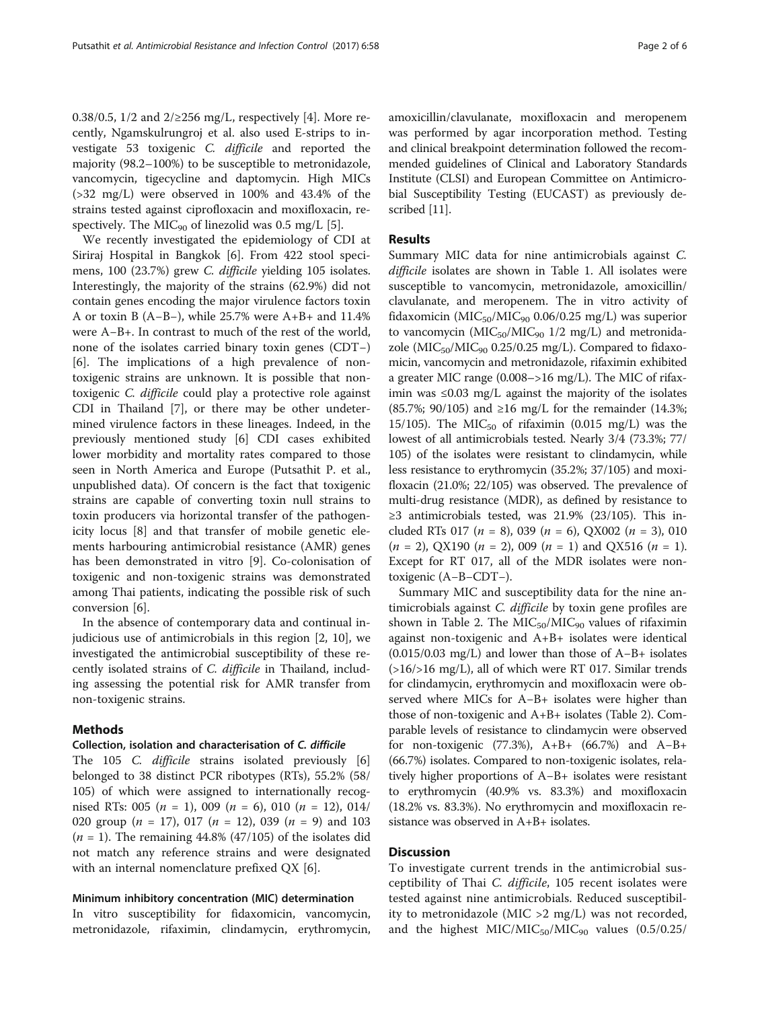0.38/0.5,  $1/2$  and  $2/≥256$  mg/L, respectively [[4\]](#page-4-0). More recently, Ngamskulrungroj et al. also used E-strips to investigate 53 toxigenic C. difficile and reported the majority (98.2–100%) to be susceptible to metronidazole, vancomycin, tigecycline and daptomycin. High MICs (>32 mg/L) were observed in 100% and 43.4% of the strains tested against ciprofloxacin and moxifloxacin, re-spectively. The MIC<sub>90</sub> of linezolid was 0.5 mg/L [\[5](#page-4-0)].

We recently investigated the epidemiology of CDI at Siriraj Hospital in Bangkok [[6\]](#page-4-0). From 422 stool specimens, 100 (23.7%) grew C. difficile yielding 105 isolates. Interestingly, the majority of the strains (62.9%) did not contain genes encoding the major virulence factors toxin A or toxin B (A−B−), while 25.7% were A+B+ and 11.4% were A−B+. In contrast to much of the rest of the world, none of the isolates carried binary toxin genes (CDT−) [[6\]](#page-4-0). The implications of a high prevalence of nontoxigenic strains are unknown. It is possible that nontoxigenic C. difficile could play a protective role against CDI in Thailand [[7\]](#page-4-0), or there may be other undetermined virulence factors in these lineages. Indeed, in the previously mentioned study [\[6](#page-4-0)] CDI cases exhibited lower morbidity and mortality rates compared to those seen in North America and Europe (Putsathit P. et al., unpublished data). Of concern is the fact that toxigenic strains are capable of converting toxin null strains to toxin producers via horizontal transfer of the pathogenicity locus [\[8](#page-4-0)] and that transfer of mobile genetic elements harbouring antimicrobial resistance (AMR) genes has been demonstrated in vitro [\[9](#page-4-0)]. Co-colonisation of toxigenic and non-toxigenic strains was demonstrated among Thai patients, indicating the possible risk of such conversion [\[6](#page-4-0)].

In the absence of contemporary data and continual injudicious use of antimicrobials in this region [[2, 10](#page-4-0)], we investigated the antimicrobial susceptibility of these recently isolated strains of C. difficile in Thailand, including assessing the potential risk for AMR transfer from non-toxigenic strains.

#### Methods

#### Collection, isolation and characterisation of C. difficile

The 105 C. difficile strains isolated previously [\[6](#page-4-0)] belonged to 38 distinct PCR ribotypes (RTs), 55.2% (58/ 105) of which were assigned to internationally recognised RTs: 005 ( $n = 1$ ), 009 ( $n = 6$ ), 010 ( $n = 12$ ), 014/ 020 group (*n* = 17), 017 (*n* = 12), 039 (*n* = 9) and 103  $(n = 1)$ . The remaining 44.8% (47/105) of the isolates did not match any reference strains and were designated with an internal nomenclature prefixed QX [[6\]](#page-4-0).

#### Minimum inhibitory concentration (MIC) determination

In vitro susceptibility for fidaxomicin, vancomycin, metronidazole, rifaximin, clindamycin, erythromycin,

amoxicillin/clavulanate, moxifloxacin and meropenem was performed by agar incorporation method. Testing and clinical breakpoint determination followed the recommended guidelines of Clinical and Laboratory Standards Institute (CLSI) and European Committee on Antimicrobial Susceptibility Testing (EUCAST) as previously described [\[11\]](#page-4-0).

#### Results

Summary MIC data for nine antimicrobials against C. difficile isolates are shown in Table [1.](#page-2-0) All isolates were susceptible to vancomycin, metronidazole, amoxicillin/ clavulanate, and meropenem. The in vitro activity of fidaxomicin ( $MIC_{50}/MIC_{90}$  0.06/0.25 mg/L) was superior to vancomycin ( $MIC<sub>50</sub>/MIC<sub>90</sub> 1/2 mg/L$ ) and metronidazole ( $\text{MIC}_{50}/\text{MIC}_{90}$  0.25/0.25 mg/L). Compared to fidaxomicin, vancomycin and metronidazole, rifaximin exhibited a greater MIC range (0.008–>16 mg/L). The MIC of rifaximin was ≤0.03 mg/L against the majority of the isolates (85.7%; 90/105) and ≥16 mg/L for the remainder (14.3%; 15/105). The MIC<sub>50</sub> of rifaximin (0.015 mg/L) was the lowest of all antimicrobials tested. Nearly 3/4 (73.3%; 77/ 105) of the isolates were resistant to clindamycin, while less resistance to erythromycin (35.2%; 37/105) and moxifloxacin (21.0%; 22/105) was observed. The prevalence of multi-drug resistance (MDR), as defined by resistance to ≥3 antimicrobials tested, was 21.9% (23/105). This included RTs 017 ( $n = 8$ ), 039 ( $n = 6$ ), OX002 ( $n = 3$ ), 010  $(n = 2)$ , QX190  $(n = 2)$ , 009  $(n = 1)$  and QX516  $(n = 1)$ . Except for RT 017, all of the MDR isolates were nontoxigenic (A−B−CDT−).

Summary MIC and susceptibility data for the nine antimicrobials against *C. difficile* by toxin gene profiles are shown in Table [2.](#page-2-0) The  $\text{MIC}_{50}/\text{MIC}_{90}$  values of rifaximin against non-toxigenic and A+B+ isolates were identical (0.015/0.03 mg/L) and lower than those of A−B+ isolates (>16/>16 mg/L), all of which were RT 017. Similar trends for clindamycin, erythromycin and moxifloxacin were observed where MICs for A−B+ isolates were higher than those of non-toxigenic and A+B+ isolates (Table [2](#page-2-0)). Comparable levels of resistance to clindamycin were observed for non-toxigenic  $(77.3\%)$ , A+B+  $(66.7\%)$  and A-B+ (66.7%) isolates. Compared to non-toxigenic isolates, relatively higher proportions of A−B+ isolates were resistant to erythromycin (40.9% vs. 83.3%) and moxifloxacin (18.2% vs. 83.3%). No erythromycin and moxifloxacin resistance was observed in A+B+ isolates.

### **Discussion**

To investigate current trends in the antimicrobial susceptibility of Thai C. difficile, 105 recent isolates were tested against nine antimicrobials. Reduced susceptibility to metronidazole (MIC >2 mg/L) was not recorded, and the highest  $MIC/MIC_{50}/MIC_{90}$  values (0.5/0.25/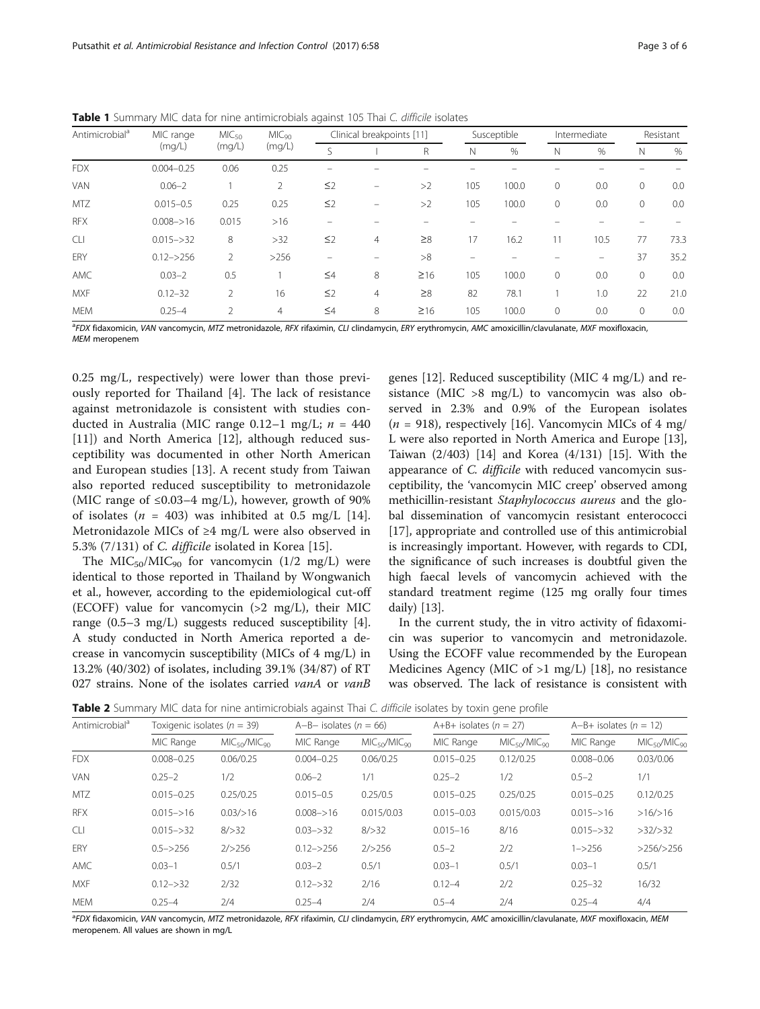| Antimicrobial <sup>a</sup> | MIC range<br>(mq/L) | MIC <sub>50</sub><br>(mq/L) | MIC <sub>90</sub><br>(mq/L) | Clinical breakpoints [11] |                          |           | Susceptible |       | Intermediate |      | Resistant    |      |
|----------------------------|---------------------|-----------------------------|-----------------------------|---------------------------|--------------------------|-----------|-------------|-------|--------------|------|--------------|------|
|                            |                     |                             |                             | S                         |                          | R         | N           | %     | Ν            | %    | N            | $\%$ |
| <b>FDX</b>                 | $0.004 - 0.25$      | 0.06                        | 0.25                        |                           |                          |           |             |       |              |      |              |      |
| <b>VAN</b>                 | $0.06 - 2$          |                             | 2                           | $\leq$ 2                  | $\overline{\phantom{0}}$ | >2        | 105         | 100.0 | $\Omega$     | 0.0  | $\mathbf{0}$ | 0.0  |
| <b>MTZ</b>                 | $0.015 - 0.5$       | 0.25                        | 0.25                        | $\leq$ 2                  | $\qquad \qquad =$        | >2        | 105         | 100.0 | $\mathbf{0}$ | 0.0  | $\circ$      | 0.0  |
| <b>RFX</b>                 | $0.008 - > 16$      | 0.015                       | >16                         |                           |                          |           |             |       |              |      |              |      |
| <b>CLI</b>                 | $0.015 - > 32$      | 8                           | >32                         | $\leq$ 2                  | $\overline{4}$           | $\geq 8$  | 17          | 16.2  | 11           | 10.5 | 77           | 73.3 |
| ERY                        | $0.12 - > 256$      | $\overline{2}$              | >256                        |                           |                          | >8        |             |       |              |      | 37           | 35.2 |
| AMC                        | $0.03 - 2$          | 0.5                         |                             | $\leq 4$                  | 8                        | $\geq 16$ | 105         | 100.0 | $\Omega$     | 0.0  | $\circ$      | 0.0  |
| <b>MXF</b>                 | $0.12 - 32$         | $\overline{2}$              | 16                          | $\leq$ 2                  | $\overline{4}$           | $\geq 8$  | 82          | 78.1  |              | 1.0  | 22           | 21.0 |
| <b>MEM</b>                 | $0.25 - 4$          | $\mathfrak{D}$              | $\overline{4}$              | $\leq 4$                  | 8                        | $\geq 16$ | 105         | 100.0 | $\mathbf{0}$ | 0.0  | $\mathbf{0}$ | 0.0  |

<span id="page-2-0"></span>Table 1 Summary MIC data for nine antimicrobials against 105 Thai C. difficile isolates

<sup>a</sup>FDX fidaxomicin, VAN vancomycin, MTZ metronidazole, RFX rifaximin, CLI clindamycin, ERY erythromycin, AMC amoxicillin/clavulanate, MXF moxifloxacin, MEM meropenem

0.25 mg/L, respectively) were lower than those previously reported for Thailand [[4](#page-4-0)]. The lack of resistance against metronidazole is consistent with studies conducted in Australia (MIC range  $0.12-1$  mg/L;  $n = 440$ [[11\]](#page-4-0)) and North America [\[12](#page-4-0)], although reduced susceptibility was documented in other North American and European studies [[13\]](#page-4-0). A recent study from Taiwan also reported reduced susceptibility to metronidazole (MIC range of  $\leq 0.03-4$  mg/L), however, growth of 90% of isolates ( $n = 403$ ) was inhibited at 0.5 mg/L [\[14](#page-4-0)]. Metronidazole MICs of  $\geq 4$  mg/L were also observed in 5.3% (7/131) of C. difficile isolated in Korea [[15\]](#page-4-0).

The  $MIC<sub>50</sub>/MIC<sub>90</sub>$  for vancomycin (1/2 mg/L) were identical to those reported in Thailand by Wongwanich et al., however, according to the epidemiological cut-off (ECOFF) value for vancomycin  $(>2 \text{ mg/L})$ , their MIC range (0.5–3 mg/L) suggests reduced susceptibility [\[4](#page-4-0)]. A study conducted in North America reported a decrease in vancomycin susceptibility (MICs of 4 mg/L) in 13.2% (40/302) of isolates, including 39.1% (34/87) of RT 027 strains. None of the isolates carried vanA or vanB genes [[12\]](#page-4-0). Reduced susceptibility (MIC 4 mg/L) and resistance (MIC  $>8$  mg/L) to vancomycin was also observed in 2.3% and 0.9% of the European isolates ( $n = 918$ ), respectively [[16](#page-4-0)]. Vancomycin MICs of 4 mg/ L were also reported in North America and Europe [\[13](#page-4-0)], Taiwan (2/403) [\[14](#page-4-0)] and Korea (4/131) [\[15\]](#page-4-0). With the appearance of C. difficile with reduced vancomycin susceptibility, the 'vancomycin MIC creep' observed among methicillin-resistant Staphylococcus aureus and the global dissemination of vancomycin resistant enterococci [[17\]](#page-4-0), appropriate and controlled use of this antimicrobial is increasingly important. However, with regards to CDI, the significance of such increases is doubtful given the high faecal levels of vancomycin achieved with the standard treatment regime (125 mg orally four times daily) [\[13\]](#page-4-0).

In the current study, the in vitro activity of fidaxomicin was superior to vancomycin and metronidazole. Using the ECOFF value recommended by the European Medicines Agency (MIC of  $>1$  mg/L) [\[18\]](#page-4-0), no resistance was observed. The lack of resistance is consistent with

Table 2 Summary MIC data for nine antimicrobials against Thai C. difficile isolates by toxin gene profile

| Antimicrobial <sup>a</sup> | Toxigenic isolates ( $n = 39$ ) |                                      | $A-B-$ isolates ( $n = 66$ ) |                                      | $A+B+$ isolates ( $n = 27$ ) |                                      | A-B+ isolates $(n = 12)$ |                                      |  |
|----------------------------|---------------------------------|--------------------------------------|------------------------------|--------------------------------------|------------------------------|--------------------------------------|--------------------------|--------------------------------------|--|
|                            | MIC Range                       | MIC <sub>50</sub> /MIC <sub>90</sub> | MIC Range                    | MIC <sub>50</sub> /MIC <sub>90</sub> | MIC Range                    | MIC <sub>50</sub> /MIC <sub>90</sub> | MIC Range                | MIC <sub>50</sub> /MIC <sub>90</sub> |  |
| <b>FDX</b>                 | $0.008 - 0.25$                  | 0.06/0.25                            | $0.004 - 0.25$               | 0.06/0.25                            | $0.015 - 0.25$               | 0.12/0.25                            | $0.008 - 0.06$           | 0.03/0.06                            |  |
| <b>VAN</b>                 | $0.25 - 2$                      | 1/2                                  | $0.06 - 2$                   | 1/1                                  | $0.25 - 2$                   | 1/2                                  | $0.5 - 2$                | 1/1                                  |  |
| <b>MTZ</b>                 | $0.015 - 0.25$                  | 0.25/0.25                            | $0.015 - 0.5$                | 0.25/0.5                             | $0.015 - 0.25$               | 0.25/0.25                            | $0.015 - 0.25$           | 0.12/0.25                            |  |
| <b>RFX</b>                 | $0.015 - > 16$                  | 0.03 / > 16                          | $0.008 - > 16$               | 0.015/0.03                           | $0.015 - 0.03$               | 0.015/0.03                           | $0.015 - > 16$           | >16/>16                              |  |
| <b>CLI</b>                 | $0.015 - > 32$                  | 8/>32                                | $0.03 - > 32$                | 8/>32                                | $0.015 - 16$                 | 8/16                                 | $0.015 - > 32$           | >32/>32                              |  |
| ERY                        | $0.5 - > 256$                   | 2/>256                               | $0.12 - > 256$               | $2/$ >256                            | $0.5 - 2$                    | 2/2                                  | $1 - > 256$              | $>256/$ $>256$                       |  |
| AMC                        | $0.03 - 1$                      | 0.5/1                                | $0.03 - 2$                   | 0.5/1                                | $0.03 - 1$                   | 0.5/1                                | $0.03 - 1$               | 0.5/1                                |  |
| <b>MXF</b>                 | $0.12 - > 32$                   | 2/32                                 | $0.12 - > 32$                | 2/16                                 | $0.12 - 4$                   | 2/2                                  | $0.25 - 32$              | 16/32                                |  |
| <b>MEM</b>                 | $0.25 - 4$                      | 2/4                                  | $0.25 - 4$                   | 2/4                                  | $0.5 - 4$                    | 2/4                                  | $0.25 - 4$               | 4/4                                  |  |

<sup>a</sup>FDX fidaxomicin, VAN vancomycin, MTZ metronidazole, RFX rifaximin, CLI clindamycin, ERY erythromycin, AMC amoxicillin/clavulanate, MXF moxifloxacin, MEM meropenem. All values are shown in mg/L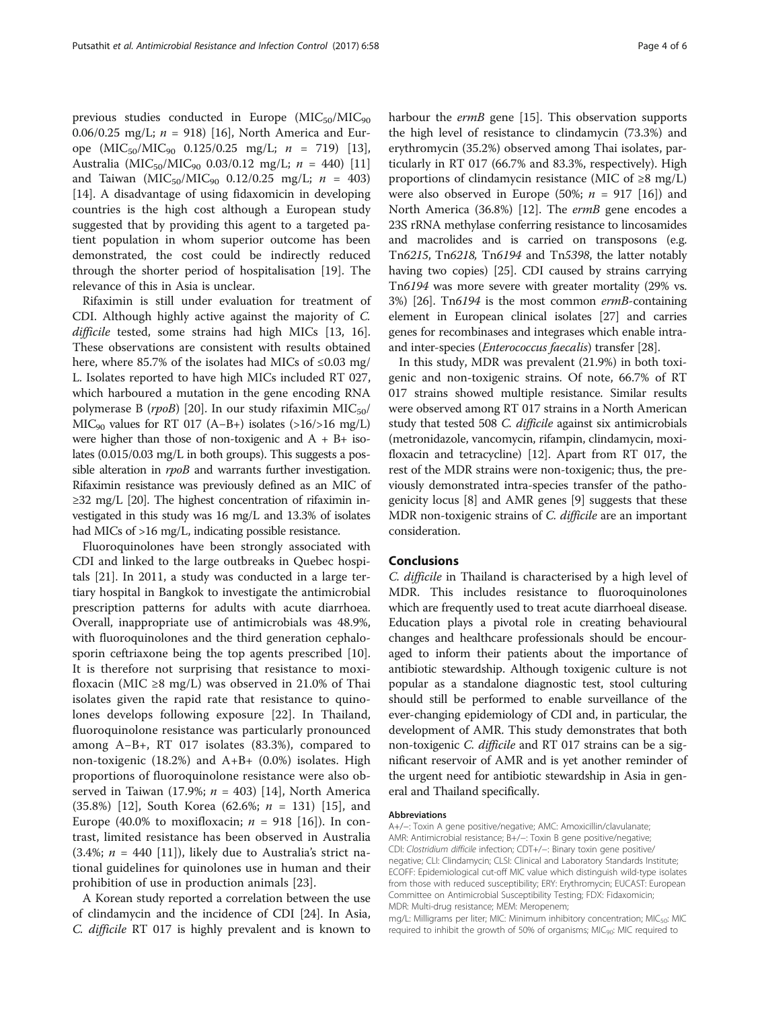previous studies conducted in Europe  $(MIC_{50}/MIC_{90}$ 0.06/0.25 mg/L;  $n = 918$ ) [[16](#page-4-0)], North America and Europe  $(MIC_{50}/MIC_{90}$  0.125/0.25 mg/L;  $n = 719$  [\[13](#page-4-0)], Australia (MIC<sub>50</sub>/MIC<sub>90</sub> 0.03/0.12 mg/L;  $n = 440$ ) [[11](#page-4-0)] and Taiwan ( $MIC<sub>50</sub>/MIC<sub>90</sub>$  0.12/0.25 mg/L;  $n = 403$ ) [[14\]](#page-4-0). A disadvantage of using fidaxomicin in developing countries is the high cost although a European study suggested that by providing this agent to a targeted patient population in whom superior outcome has been demonstrated, the cost could be indirectly reduced through the shorter period of hospitalisation [[19\]](#page-4-0). The relevance of this in Asia is unclear.

Rifaximin is still under evaluation for treatment of CDI. Although highly active against the majority of C. difficile tested, some strains had high MICs [[13, 16](#page-4-0)]. These observations are consistent with results obtained here, where 85.7% of the isolates had MICs of  $\leq 0.03$  mg/ L. Isolates reported to have high MICs included RT 027, which harboured a mutation in the gene encoding RNA polymerase B ( $rpoB$ ) [\[20](#page-4-0)]. In our study rifaximin MIC<sub>50</sub>/ MIC<sub>90</sub> values for RT 017 (A–B+) isolates (>16/>16 mg/L) were higher than those of non-toxigenic and  $A + B + iso$ lates (0.015/0.03 mg/L in both groups). This suggests a possible alteration in rpoB and warrants further investigation. Rifaximin resistance was previously defined as an MIC of  $\geq$ 32 mg/L [[20](#page-4-0)]. The highest concentration of rifaximin investigated in this study was 16 mg/L and 13.3% of isolates had MICs of >16 mg/L, indicating possible resistance.

Fluoroquinolones have been strongly associated with CDI and linked to the large outbreaks in Quebec hospitals [\[21](#page-4-0)]. In 2011, a study was conducted in a large tertiary hospital in Bangkok to investigate the antimicrobial prescription patterns for adults with acute diarrhoea. Overall, inappropriate use of antimicrobials was 48.9%, with fluoroquinolones and the third generation cephalosporin ceftriaxone being the top agents prescribed [\[10](#page-4-0)]. It is therefore not surprising that resistance to moxifloxacin (MIC ≥8 mg/L) was observed in 21.0% of Thai isolates given the rapid rate that resistance to quinolones develops following exposure [[22\]](#page-4-0). In Thailand, fluoroquinolone resistance was particularly pronounced among A−B+, RT 017 isolates (83.3%), compared to non-toxigenic (18.2%) and  $A+B+$  (0.0%) isolates. High proportions of fluoroquinolone resistance were also observed in Taiwan (17.9%;  $n = 403$ ) [[14\]](#page-4-0), North America (35.8%) [\[12](#page-4-0)], South Korea (62.6%;  $n = 131$ ) [\[15](#page-4-0)], and Europe (40.0% to moxifloxacin;  $n = 918$  [\[16](#page-4-0)]). In contrast, limited resistance has been observed in Australia  $(3.4\%; n = 440$  [[11](#page-4-0)]), likely due to Australia's strict national guidelines for quinolones use in human and their prohibition of use in production animals [\[23](#page-4-0)].

A Korean study reported a correlation between the use of clindamycin and the incidence of CDI [\[24](#page-4-0)]. In Asia, C. difficile RT 017 is highly prevalent and is known to harbour the *ermB* gene [\[15](#page-4-0)]. This observation supports the high level of resistance to clindamycin (73.3%) and erythromycin (35.2%) observed among Thai isolates, particularly in RT 017 (66.7% and 83.3%, respectively). High proportions of clindamycin resistance (MIC of ≥8 mg/L) were also observed in Europe (50%;  $n = 917$  [\[16\]](#page-4-0)) and North America (36.8%) [\[12](#page-4-0)]. The ermB gene encodes a 23S rRNA methylase conferring resistance to lincosamides and macrolides and is carried on transposons (e.g. Tn6215, Tn6218, Tn6194 and Tn5398, the latter notably having two copies) [\[25\]](#page-4-0). CDI caused by strains carrying Tn6194 was more severe with greater mortality (29% vs. 3%) [[26](#page-5-0)]. Tn6194 is the most common  $ermB$ -containing element in European clinical isolates [[27](#page-5-0)] and carries genes for recombinases and integrases which enable intraand inter-species (Enterococcus faecalis) transfer [[28](#page-5-0)].

In this study, MDR was prevalent (21.9%) in both toxigenic and non-toxigenic strains. Of note, 66.7% of RT 017 strains showed multiple resistance. Similar results were observed among RT 017 strains in a North American study that tested 508 C. difficile against six antimicrobials (metronidazole, vancomycin, rifampin, clindamycin, moxifloxacin and tetracycline) [[12](#page-4-0)]. Apart from RT 017, the rest of the MDR strains were non-toxigenic; thus, the previously demonstrated intra-species transfer of the pathogenicity locus [\[8](#page-4-0)] and AMR genes [[9](#page-4-0)] suggests that these MDR non-toxigenic strains of C. difficile are an important consideration.

#### Conclusions

C. difficile in Thailand is characterised by a high level of MDR. This includes resistance to fluoroquinolones which are frequently used to treat acute diarrhoeal disease. Education plays a pivotal role in creating behavioural changes and healthcare professionals should be encouraged to inform their patients about the importance of antibiotic stewardship. Although toxigenic culture is not popular as a standalone diagnostic test, stool culturing should still be performed to enable surveillance of the ever-changing epidemiology of CDI and, in particular, the development of AMR. This study demonstrates that both non-toxigenic C. difficile and RT 017 strains can be a significant reservoir of AMR and is yet another reminder of the urgent need for antibiotic stewardship in Asia in general and Thailand specifically.

#### Abbreviations

A+/−: Toxin A gene positive/negative; AMC: Amoxicillin/clavulanate; AMR: Antimicrobial resistance; B+/−: Toxin B gene positive/negative; CDI: Clostridium difficile infection; CDT+/−: Binary toxin gene positive/ negative; CLI: Clindamycin; CLSI: Clinical and Laboratory Standards Institute; ECOFF: Epidemiological cut-off MIC value which distinguish wild-type isolates from those with reduced susceptibility; ERY: Erythromycin; EUCAST: European Committee on Antimicrobial Susceptibility Testing; FDX: Fidaxomicin; MDR: Multi-drug resistance; MEM: Meropenem;

mg/L: Milligrams per liter; MIC: Minimum inhibitory concentration; MIC<sub>50</sub>: MIC required to inhibit the growth of 50% of organisms; MIC<sub>90</sub>: MIC required to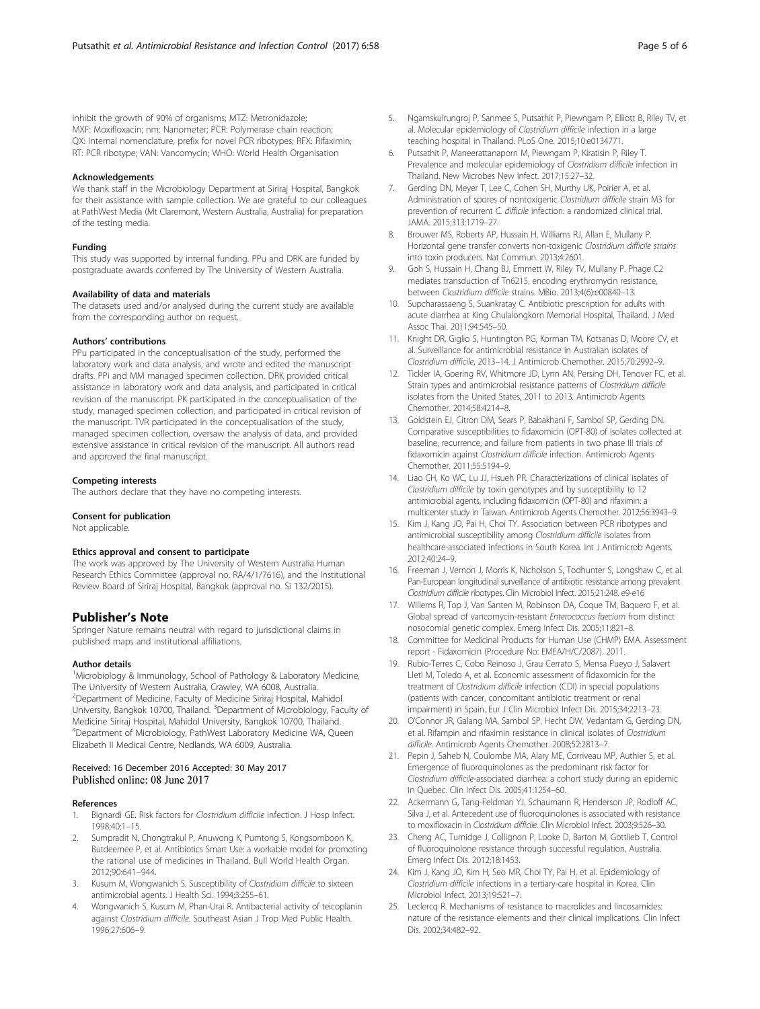<span id="page-4-0"></span>inhibit the growth of 90% of organisms; MTZ: Metronidazole; MXF: Moxifloxacin; nm: Nanometer; PCR: Polymerase chain reaction; QX: Internal nomenclature, prefix for novel PCR ribotypes; RFX: Rifaximin; RT: PCR ribotype; VAN: Vancomycin; WHO: World Health Organisation

#### Acknowledgements

We thank staff in the Microbiology Department at Siriraj Hospital, Bangkok for their assistance with sample collection. We are grateful to our colleagues at PathWest Media (Mt Claremont, Western Australia, Australia) for preparation of the testing media.

#### Funding

This study was supported by internal funding. PPu and DRK are funded by postgraduate awards conferred by The University of Western Australia.

#### Availability of data and materials

The datasets used and/or analysed during the current study are available from the corresponding author on request.

#### Authors' contributions

PPu participated in the conceptualisation of the study, performed the laboratory work and data analysis, and wrote and edited the manuscript drafts. PPi and MM managed specimen collection. DRK provided critical assistance in laboratory work and data analysis, and participated in critical revision of the manuscript. PK participated in the conceptualisation of the study, managed specimen collection, and participated in critical revision of the manuscript. TVR participated in the conceptualisation of the study, managed specimen collection, oversaw the analysis of data, and provided extensive assistance in critical revision of the manuscript. All authors read and approved the final manuscript.

#### Competing interests

The authors declare that they have no competing interests.

#### Consent for publication

Not applicable.

#### Ethics approval and consent to participate

The work was approved by The University of Western Australia Human Research Ethics Committee (approval no. RA/4/1/7616), and the Institutional Review Board of Siriraj Hospital, Bangkok (approval no. Si 132/2015).

#### Publisher's Note

Springer Nature remains neutral with regard to jurisdictional claims in published maps and institutional affiliations.

#### Author details

<sup>1</sup>Microbiology & Immunology, School of Pathology & Laboratory Medicine, The University of Western Australia, Crawley, WA 6008, Australia. <sup>2</sup> Department of Medicine, Faculty of Medicine Siriraj Hospital, Mahidol University, Bangkok 10700, Thailand. <sup>3</sup> Department of Microbiology, Faculty of Medicine Siriraj Hospital, Mahidol University, Bangkok 10700, Thailand. 4 Department of Microbiology, PathWest Laboratory Medicine WA, Queen Elizabeth II Medical Centre, Nedlands, WA 6009, Australia.

#### Received: 16 December 2016 Accepted: 30 May 2017 Published online: 08 June 2017

#### References

- 1. Bignardi GE. Risk factors for Clostridium difficile infection. J Hosp Infect. 1998;40:1–15.
- 2. Sumpradit N, Chongtrakul P, Anuwong K, Pumtong S, Kongsomboon K, Butdeemee P, et al. Antibiotics Smart Use: a workable model for promoting the rational use of medicines in Thailand. Bull World Health Organ. 2012;90:641–944.
- 3. Kusum M, Wongwanich S. Susceptibility of Clostridium difficile to sixteen antimicrobial agents. J Health Sci. 1994;3:255–61.
- 4. Wongwanich S, Kusum M, Phan-Urai R. Antibacterial activity of teicoplanin against Clostridium difficile. Southeast Asian J Trop Med Public Health. 1996;27:606–9.
- 5. Ngamskulrungroj P, Sanmee S, Putsathit P, Piewngam P, Elliott B, Riley TV, et al. Molecular epidemiology of Clostridium difficile infection in a large teaching hospital in Thailand. PLoS One. 2015;10:e0134771.
- 6. Putsathit P, Maneerattanaporn M, Piewngam P, Kiratisin P, Riley T. Prevalence and molecular epidemiology of Clostridium difficile infection in Thailand. New Microbes New Infect. 2017;15:27–32.
- 7. Gerding DN, Meyer T, Lee C, Cohen SH, Murthy UK, Poirier A, et al. Administration of spores of nontoxigenic Clostridium difficile strain M3 for prevention of recurrent C. difficile infection: a randomized clinical trial. JAMA. 2015;313:1719–27.
- 8. Brouwer MS, Roberts AP, Hussain H, Williams RJ, Allan E, Mullany P. Horizontal gene transfer converts non-toxigenic Clostridium difficile strains into toxin producers. Nat Commun. 2013;4:2601.
- 9. Goh S, Hussain H, Chang BJ, Emmett W, Riley TV, Mullany P. Phage C2 mediates transduction of Tn6215, encoding erythromycin resistance, between Clostridium difficile strains. MBio. 2013;4(6):e00840–13.
- 10. Supcharassaeng S, Suankratay C. Antibiotic prescription for adults with acute diarrhea at King Chulalongkorn Memorial Hospital, Thailand. J Med Assoc Thai. 2011;94:545–50.
- 11. Knight DR, Giglio S, Huntington PG, Korman TM, Kotsanas D, Moore CV, et al. Surveillance for antimicrobial resistance in Australian isolates of Clostridium difficile, 2013–14. J Antimicrob Chemother. 2015;70:2992–9.
- 12. Tickler IA, Goering RV, Whitmore JD, Lynn AN, Persing DH, Tenover FC, et al. Strain types and antimicrobial resistance patterns of Clostridium difficile isolates from the United States, 2011 to 2013. Antimicrob Agents Chemother. 2014;58:4214–8.
- 13. Goldstein EJ, Citron DM, Sears P, Babakhani F, Sambol SP, Gerding DN. Comparative susceptibilities to fidaxomicin (OPT-80) of isolates collected at baseline, recurrence, and failure from patients in two phase III trials of fidaxomicin against Clostridium difficile infection. Antimicrob Agents Chemother. 2011;55:5194–9.
- 14. Liao CH, Ko WC, Lu JJ, Hsueh PR. Characterizations of clinical isolates of Clostridium difficile by toxin genotypes and by susceptibility to 12 antimicrobial agents, including fidaxomicin (OPT-80) and rifaximin: a multicenter study in Taiwan. Antimicrob Agents Chemother. 2012;56:3943–9.
- 15. Kim J, Kang JO, Pai H, Choi TY. Association between PCR ribotypes and antimicrobial susceptibility among Clostridium difficile isolates from healthcare-associated infections in South Korea. Int J Antimicrob Agents. 2012;40:24–9.
- 16. Freeman J, Vernon J, Morris K, Nicholson S, Todhunter S, Longshaw C, et al. Pan-European longitudinal surveillance of antibiotic resistance among prevalent Clostridium difficile ribotypes. Clin Microbiol Infect. 2015;21:248. e9-e16
- 17. Willems R, Top J, Van Santen M, Robinson DA, Coque TM, Baquero F, et al. Global spread of vancomycin-resistant Enterococcus faecium from distinct nosocomial genetic complex. Emerg Infect Dis. 2005;11:821–8.
- 18. Committee for Medicinal Products for Human Use (CHMP) EMA. Assessment report - Fidaxomicin (Procedure No: EMEA/H/C/2087). 2011.
- 19. Rubio-Terres C, Cobo Reinoso J, Grau Cerrato S, Mensa Pueyo J, Salavert Lleti M, Toledo A, et al. Economic assessment of fidaxomicin for the treatment of Clostridium difficile infection (CDI) in special populations (patients with cancer, concomitant antibiotic treatment or renal impairment) in Spain. Eur J Clin Microbiol Infect Dis. 2015;34:2213–23.
- 20. O'Connor JR, Galang MA, Sambol SP, Hecht DW, Vedantam G, Gerding DN, et al. Rifampin and rifaximin resistance in clinical isolates of Clostridium difficile. Antimicrob Agents Chemother. 2008;52:2813–7.
- 21. Pepin J, Saheb N, Coulombe MA, Alary ME, Corriveau MP, Authier S, et al. Emergence of fluoroquinolones as the predominant risk factor for Clostridium difficile-associated diarrhea: a cohort study during an epidemic in Quebec. Clin Infect Dis. 2005;41:1254–60.
- 22. Ackermann G, Tang-Feldman YJ, Schaumann R, Henderson JP, Rodloff AC, Silva J, et al. Antecedent use of fluoroquinolones is associated with resistance to moxifloxacin in Clostridium difficile. Clin Microbiol Infect. 2003;9:526–30.
- 23. Cheng AC, Turnidge J, Collignon P, Looke D, Barton M, Gottlieb T. Control of fluoroquinolone resistance through successful regulation, Australia. Emerg Infect Dis. 2012;18:1453.
- 24. Kim J, Kang JO, Kim H, Seo MR, Choi TY, Pai H, et al. Epidemiology of Clostridium difficile infections in a tertiary-care hospital in Korea. Clin Microbiol Infect. 2013;19:521–7.
- 25. Leclercq R. Mechanisms of resistance to macrolides and lincosamides: nature of the resistance elements and their clinical implications. Clin Infect Dis. 2002;34:482–92.